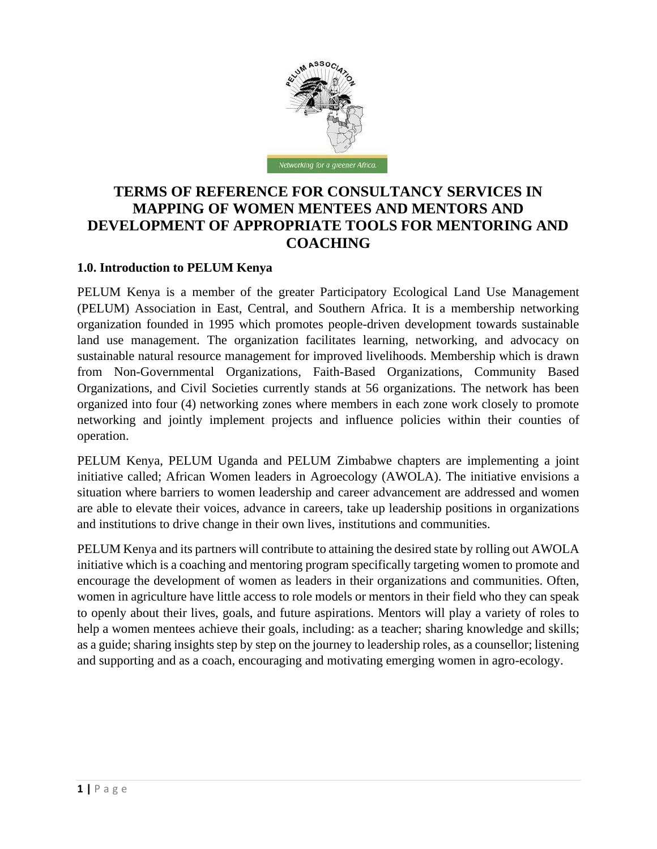

# **TERMS OF REFERENCE FOR CONSULTANCY SERVICES IN MAPPING OF WOMEN MENTEES AND MENTORS AND DEVELOPMENT OF APPROPRIATE TOOLS FOR MENTORING AND COACHING**

#### **1.0. Introduction to PELUM Kenya**

PELUM Kenya is a member of the greater Participatory Ecological Land Use Management (PELUM) Association in East, Central, and Southern Africa. It is a membership networking organization founded in 1995 which promotes people-driven development towards sustainable land use management. The organization facilitates learning, networking, and advocacy on sustainable natural resource management for improved livelihoods. Membership which is drawn from Non-Governmental Organizations, Faith-Based Organizations, Community Based Organizations, and Civil Societies currently stands at 56 organizations. The network has been organized into four (4) networking zones where members in each zone work closely to promote networking and jointly implement projects and influence policies within their counties of operation.

PELUM Kenya, PELUM Uganda and PELUM Zimbabwe chapters are implementing a joint initiative called; African Women leaders in Agroecology (AWOLA). The initiative envisions a situation where barriers to women leadership and career advancement are addressed and women are able to elevate their voices, advance in careers, take up leadership positions in organizations and institutions to drive change in their own lives, institutions and communities.

PELUM Kenya and its partners will contribute to attaining the desired state by rolling out AWOLA initiative which is a coaching and mentoring program specifically targeting women to promote and encourage the development of women as leaders in their organizations and communities. Often, women in agriculture have little access to role models or mentors in their field who they can speak to openly about their lives, goals, and future aspirations. Mentors will play a variety of roles to help a women mentees achieve their goals, including: as a teacher; sharing knowledge and skills; as a guide; sharing insights step by step on the journey to leadership roles, as a counsellor; listening and supporting and as a coach, encouraging and motivating emerging women in agro-ecology.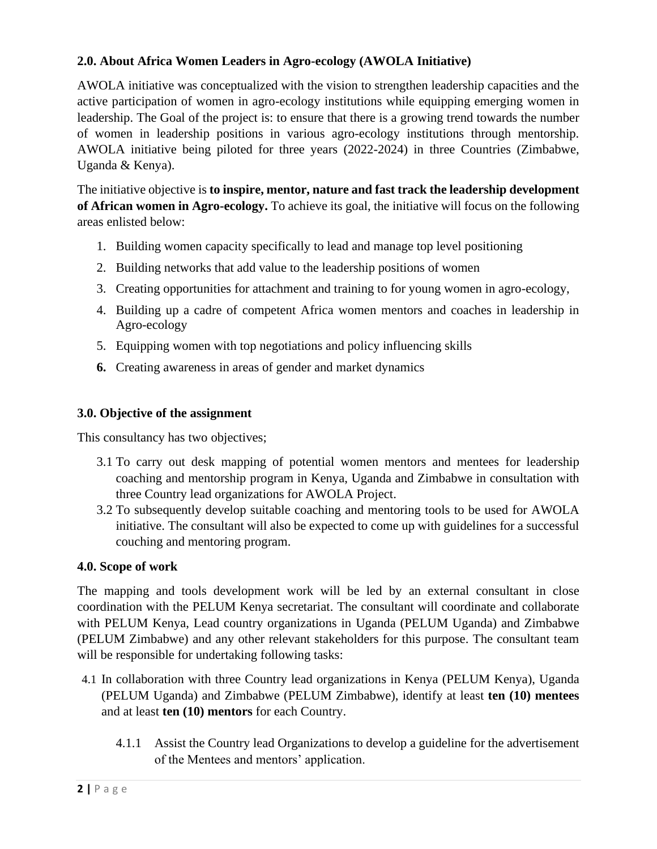### **2.0. About Africa Women Leaders in Agro-ecology (AWOLA Initiative)**

AWOLA initiative was conceptualized with the vision to strengthen leadership capacities and the active participation of women in agro-ecology institutions while equipping emerging women in leadership. The Goal of the project is: to ensure that there is a growing trend towards the number of women in leadership positions in various agro-ecology institutions through mentorship. AWOLA initiative being piloted for three years (2022-2024) in three Countries (Zimbabwe, Uganda & Kenya).

The initiative objective is **to inspire, mentor, nature and fast track the leadership development of African women in Agro-ecology.** To achieve its goal, the initiative will focus on the following areas enlisted below:

- 1. Building women capacity specifically to lead and manage top level positioning
- 2. Building networks that add value to the leadership positions of women
- 3. Creating opportunities for attachment and training to for young women in agro-ecology,
- 4. Building up a cadre of competent Africa women mentors and coaches in leadership in Agro-ecology
- 5. Equipping women with top negotiations and policy influencing skills
- **6.** Creating awareness in areas of gender and market dynamics

#### **3.0. Objective of the assignment**

This consultancy has two objectives;

- 3.1 To carry out desk mapping of potential women mentors and mentees for leadership coaching and mentorship program in Kenya, Uganda and Zimbabwe in consultation with three Country lead organizations for AWOLA Project.
- 3.2 To subsequently develop suitable coaching and mentoring tools to be used for AWOLA initiative. The consultant will also be expected to come up with guidelines for a successful couching and mentoring program.

#### **4.0. Scope of work**

The mapping and tools development work will be led by an external consultant in close coordination with the PELUM Kenya secretariat. The consultant will coordinate and collaborate with PELUM Kenya, Lead country organizations in Uganda (PELUM Uganda) and Zimbabwe (PELUM Zimbabwe) and any other relevant stakeholders for this purpose. The consultant team will be responsible for undertaking following tasks:

- 4.1 In collaboration with three Country lead organizations in Kenya (PELUM Kenya), Uganda (PELUM Uganda) and Zimbabwe (PELUM Zimbabwe), identify at least **ten (10) mentees** and at least **ten (10) mentors** for each Country.
	- 4.1.1 Assist the Country lead Organizations to develop a guideline for the advertisement of the Mentees and mentors' application.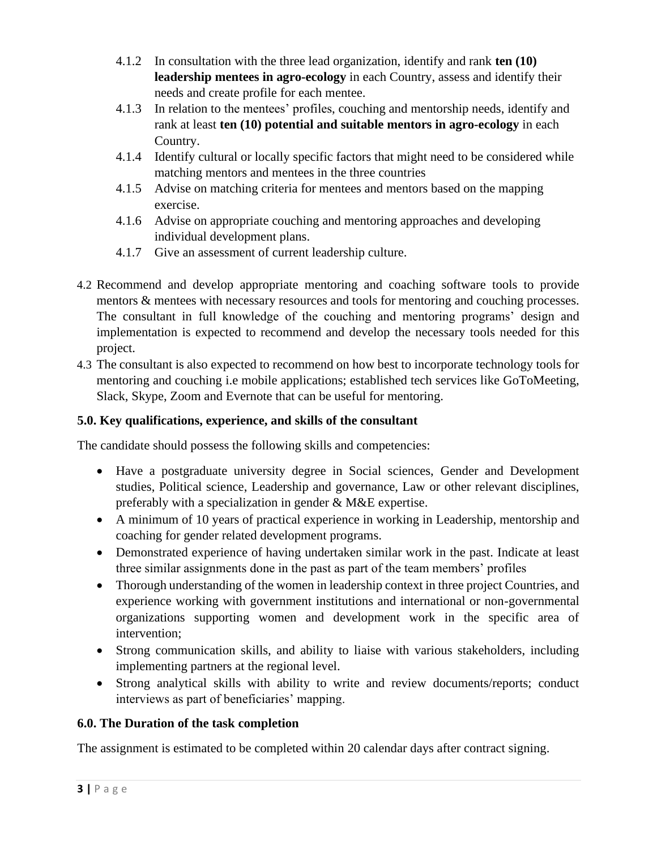- 4.1.2 In consultation with the three lead organization, identify and rank **ten (10) leadership mentees in agro-ecology** in each Country, assess and identify their needs and create profile for each mentee.
- 4.1.3 In relation to the mentees' profiles, couching and mentorship needs, identify and rank at least **ten (10) potential and suitable mentors in agro-ecology** in each Country.
- 4.1.4 Identify cultural or locally specific factors that might need to be considered while matching mentors and mentees in the three countries
- 4.1.5 Advise on matching criteria for mentees and mentors based on the mapping exercise.
- 4.1.6 Advise on appropriate couching and mentoring approaches and developing individual development plans.
- 4.1.7 Give an assessment of current leadership culture.
- 4.2 Recommend and develop appropriate mentoring and coaching software tools to provide mentors & mentees with necessary resources and tools for mentoring and couching processes. The consultant in full knowledge of the couching and mentoring programs' design and implementation is expected to recommend and develop the necessary tools needed for this project.
- 4.3 The consultant is also expected to recommend on how best to incorporate technology tools for mentoring and couching i.e mobile applications; established tech services like GoToMeeting, Slack, Skype, Zoom and Evernote that can be useful for mentoring.

## **5.0. Key qualifications, experience, and skills of the consultant**

The candidate should possess the following skills and competencies:

- Have a postgraduate university degree in Social sciences, Gender and Development studies, Political science, Leadership and governance, Law or other relevant disciplines, preferably with a specialization in gender & M&E expertise.
- A minimum of 10 years of practical experience in working in Leadership, mentorship and coaching for gender related development programs.
- Demonstrated experience of having undertaken similar work in the past. Indicate at least three similar assignments done in the past as part of the team members' profiles
- Thorough understanding of the women in leadership context in three project Countries, and experience working with government institutions and international or non-governmental organizations supporting women and development work in the specific area of intervention;
- Strong communication skills, and ability to liaise with various stakeholders, including implementing partners at the regional level.
- Strong analytical skills with ability to write and review documents/reports; conduct interviews as part of beneficiaries' mapping.

## **6.0. The Duration of the task completion**

The assignment is estimated to be completed within 20 calendar days after contract signing.